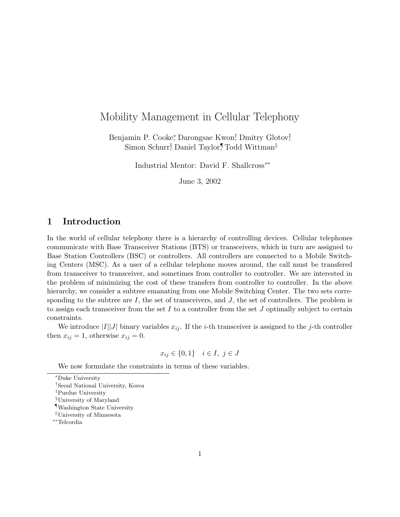## Mobility Management in Cellular Telephony

Benjamin P. Cooke, Darongsae Kwon, Dmitry Glotov, Simon Schurr<sup>§</sup> Daniel Taylor,¶Todd Wittman<sup>||</sup>

Industrial Mentor: David F. Shallcross∗∗

June 3, 2002

## 1 Introduction

In the world of cellular telephony there is a hierarchy of controlling devices. Cellular telephones communicate with Base Transceiver Stations (BTS) or transceivers, which in turn are assigned to Base Station Controllers (BSC) or controllers. All controllers are connected to a Mobile Switching Centers (MSC). As a user of a cellular telephone moves around, the call must be transfered from transceiver to transceiver, and sometimes from controller to controller. We are interested in the problem of minimizing the cost of these transfers from controller to controller. In the above hierarchy, we consider a subtree emanating from one Mobile Switching Center. The two sets corresponding to the subtree are  $I$ , the set of transceivers, and  $J$ , the set of controllers. The problem is to assign each transceiver from the set  $I$  to a controller from the set  $J$  optimally subject to certain constraints.

We introduce  $|I||J|$  binary variables  $x_{ij}$ . If the *i*-th transceiver is assigned to the *j*-th controller then  $x_{ij} = 1$ , otherwise  $x_{ij} = 0$ .

$$
x_{ij} \in \{0, 1\} \quad i \in I, \ j \in J
$$

We now formulate the constraints in terms of these variables.

<sup>∗</sup>Duke University

<sup>†</sup>Seoul National University, Korea

<sup>‡</sup>Purdue University

<sup>§</sup>University of Maryland

<sup>¶</sup>Washington State University

 $\mathbb{U}$ university of Minnesota

<sup>∗∗</sup>Telcordia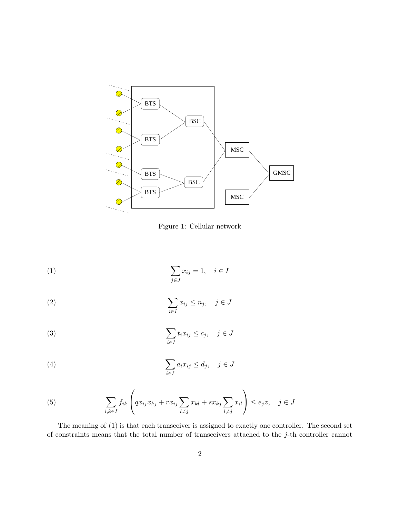

Figure 1: Cellular network

$$
\sum_{j \in J} x_{ij} = 1, \quad i \in I
$$

(2) 
$$
\sum_{i \in I} x_{ij} \le n_j, \quad j \in J
$$

(3) 
$$
\sum_{i \in I} t_i x_{ij} \le c_j, \quad j \in J
$$

(4) 
$$
\sum_{i \in I} a_i x_{ij} \leq d_j, \quad j \in J
$$

(5) 
$$
\sum_{i,k\in I} f_{ik} \left( qx_{ij}x_{kj} + rx_{ij} \sum_{l\neq j} x_{kl} + sx_{kj} \sum_{l\neq j} x_{il} \right) \le e_j z, \quad j \in J
$$

The meaning of (1) is that each transceiver is assigned to exactly one controller. The second set of constraints means that the total number of transceivers attached to the  $j$ -th controller cannot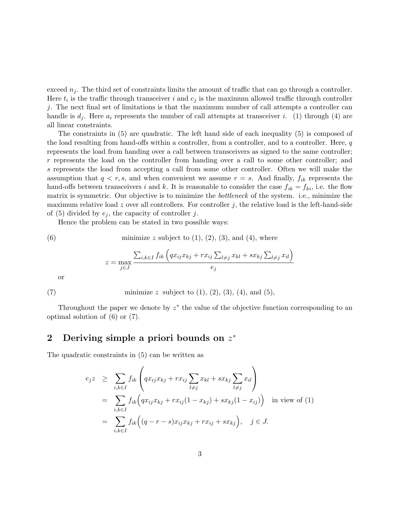exceed  $n_i$ . The third set of constraints limits the amount of traffic that can go through a controller. Here  $t_i$  is the traffic through transceiver i and  $c_j$  is the maximum allowed traffic through controller j. The next final set of limitations is that the maximum number of call attempts a controller can handle is  $d_i$ . Here  $a_i$  represents the number of call attempts at transceiver i. (1) through (4) are all linear constraints.

The constraints in (5) are quadratic. The left hand side of each inequality (5) is composed of the load resulting from hand-offs within a controller, from a controller, and to a controller. Here, q represents the load from handing over a call between transceivers as signed to the same controller; r represents the load on the controller from handing over a call to some other controller; and s represents the load from accepting a call from some other controller. Often we will make the assumption that  $q < r, s$ , and when convenient we assume  $r = s$ . And finally,  $f_{ik}$  represents the hand-offs between transceivers i and k. It is reasonable to consider the case  $f_{ik} = f_{ki}$ , i.e. the flow matrix is symmetric. Our objective is to minimize the *bottleneck* of the system. i.e., minimize the maximum relative load z over all controllers. For controller j, the relative load is the left-hand-side of (5) divided by  $e_j$ , the capacity of controller j.

Hence the problem can be stated in two possible ways:

(6) minimize 
$$
z
$$
 subject to (1), (2), (3), and (4), where  
\n
$$
z = \max_{j \in J} \frac{\sum_{i,k \in I} f_{ik} \left( q x_{ij} x_{kj} + r x_{ij} \sum_{l \neq j} x_{kl} + s x_{kj} \sum_{l \neq j} x_{il} \right)}{e_j}
$$

or

(7) minimize z subject to  $(1)$ ,  $(2)$ ,  $(3)$ ,  $(4)$ , and  $(5)$ ,

Throughout the paper we denote by  $z^*$  the value of the objective function corresponding to an optimal solution of (6) or (7).

## 2 Deriving simple a priori bounds on  $z^*$

The quadratic constraints in (5) can be written as

$$
e_j z \geq \sum_{i,k \in I} f_{ik} \left( qx_{ij} x_{kj} + r x_{ij} \sum_{l \neq j} x_{kl} + s x_{kj} \sum_{l \neq j} x_{il} \right)
$$
  
= 
$$
\sum_{i,k \in I} f_{ik} \left( qx_{ij} x_{kj} + r x_{ij} (1 - x_{kj}) + s x_{kj} (1 - x_{ij}) \right) \text{ in view of (1)}
$$
  
= 
$$
\sum_{i,k \in I} f_{ik} \left( (q - r - s) x_{ij} x_{kj} + r x_{ij} + s x_{kj} \right), \quad j \in J.
$$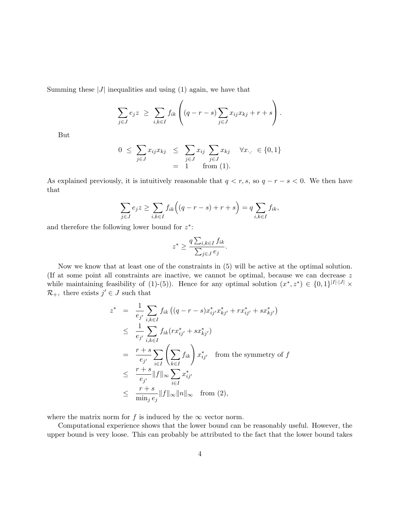Summing these  $|J|$  inequalities and using (1) again, we have that

$$
\sum_{j\in J} e_j z \geq \sum_{i,k\in I} f_{ik} \left( (q-r-s) \sum_{j\in J} x_{ij} x_{kj} + r+s \right).
$$

But

$$
0 \leq \sum_{j \in J} x_{ij} x_{kj} \leq \sum_{j \in J} x_{ij} \sum_{j \in J} x_{kj} \quad \forall x_{\cdot,\cdot} \in \{0,1\}
$$
  
= 1 from (1).

As explained previously, it is intuitively reasonable that  $q < r, s$ , so  $q - r - s < 0$ . We then have that

$$
\sum_{j\in J} e_j z \ge \sum_{i,k\in I} f_{ik} \Big( (q-r-s) + r + s \Big) = q \sum_{i,k\in I} f_{ik},
$$

and therefore the following lower bound for  $z^*$ :

$$
z^* \ge \frac{q \sum_{i,k \in I} f_{ik}}{\sum_{j \in J} e_j}.
$$

Now we know that at least one of the constraints in (5) will be active at the optimal solution. (If at some point all constraints are inactive, we cannot be optimal, because we can decrease z while maintaining feasibility of (1)-(5)). Hence for any optimal solution  $(x^*, z^*) \in \{0, 1\}^{|I| \cdot |J|} \times$  $\mathcal{R}_+$ , there exists  $j' \in J$  such that

$$
z^* = \frac{1}{e_{j'}} \sum_{i,k \in I} f_{ik} ((q-r-s)x_{ij}^* x_{kj'}^* + rx_{ij'}^* + sx_{kj'}^*)
$$
  
\n
$$
\leq \frac{1}{e_{j'}} \sum_{i,k \in I} f_{ik} (rx_{ij'}^* + sx_{kj'}^*)
$$
  
\n
$$
= \frac{r+s}{e_{j'}} \sum_{i \in I} \left( \sum_{k \in I} f_{ik} \right) x_{ij'}^* \text{ from the symmetry of } f
$$
  
\n
$$
\leq \frac{r+s}{e_{j'}} ||f||_{\infty} \sum_{i \in I} x_{ij'}^*
$$
  
\n
$$
\leq \frac{r+s}{\min_{j} e_{j}} ||f||_{\infty} ||n||_{\infty} \text{ from (2),}
$$

where the matrix norm for f is induced by the  $\infty$  vector norm.

Computational experience shows that the lower bound can be reasonably useful. However, the upper bound is very loose. This can probably be attributed to the fact that the lower bound takes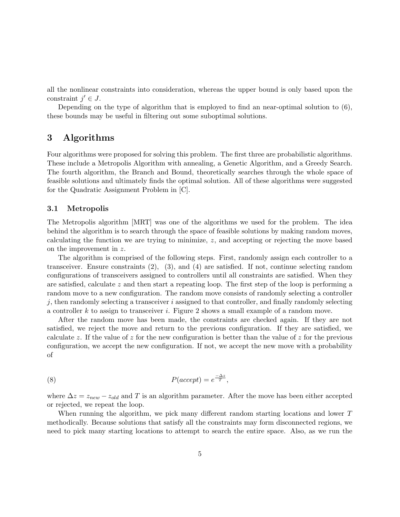all the nonlinear constraints into consideration, whereas the upper bound is only based upon the constraint  $j' \in J$ .

Depending on the type of algorithm that is employed to find an near-optimal solution to (6), these bounds may be useful in filtering out some suboptimal solutions.

## 3 Algorithms

Four algorithms were proposed for solving this problem. The first three are probabilistic algorithms. These include a Metropolis Algorithm with annealing, a Genetic Algorithm, and a Greedy Search. The fourth algorithm, the Branch and Bound, theoretically searches through the whole space of feasible solutions and ultimately finds the optimal solution. All of these algorithms were suggested for the Quadratic Assignment Problem in [C].

#### 3.1 Metropolis

The Metropolis algorithm [MRT] was one of the algorithms we used for the problem. The idea behind the algorithm is to search through the space of feasible solutions by making random moves, calculating the function we are trying to minimize,  $z$ , and accepting or rejecting the move based on the improvement in z.

The algorithm is comprised of the following steps. First, randomly assign each controller to a transceiver. Ensure constraints (2), (3), and (4) are satisfied. If not, continue selecting random configurations of transceivers assigned to controllers until all constraints are satisfied. When they are satisfied, calculate  $z$  and then start a repeating loop. The first step of the loop is performing a random move to a new configuration. The random move consists of randomly selecting a controller  $j$ , then randomly selecting a transceiver  $i$  assigned to that controller, and finally randomly selecting a controller  $k$  to assign to transceiver  $i$ . Figure 2 shows a small example of a random move.

After the random move has been made, the constraints are checked again. If they are not satisfied, we reject the move and return to the previous configuration. If they are satisfied, we calculate z. If the value of z for the new configuration is better than the value of z for the previous configuration, we accept the new configuration. If not, we accept the new move with a probability of

(8) 
$$
P(accept) = e^{\frac{-\Delta z}{T}},
$$

where  $\Delta z = z_{new} - z_{old}$  and T is an algorithm parameter. After the move has been either accepted or rejected, we repeat the loop.

When running the algorithm, we pick many different random starting locations and lower T methodically. Because solutions that satisfy all the constraints may form disconnected regions, we need to pick many starting locations to attempt to search the entire space. Also, as we run the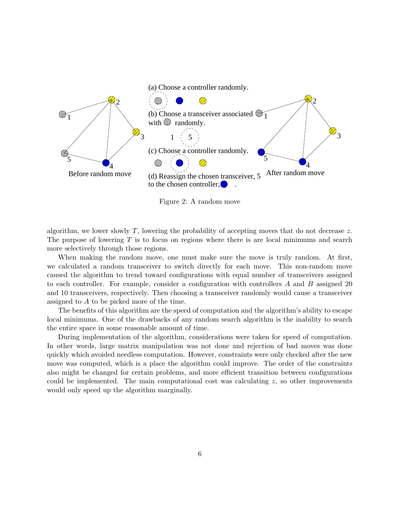

Figure 2: A random move

algorithm, we lower slowly T, lowering the probability of accepting moves that do not decrease z. The purpose of lowering  $T$  is to focus on regions where there is are local minimums and search more selectively through those regions.

When making the random move, one must make sure the move is truly random. At first, we calculated a random transceiver to switch directly for each move. This non-random move caused the algorithm to trend toward configurations with equal number of transceivers assigned to each controller. For example, consider a configuration with controllers  $A$  and  $B$  assigned 20 and 10 transceivers, respectively. Then choosing a transceiver randomly would cause a transceiver assigned to A to be picked more of the time.

The benefits of this algorithm are the speed of computation and the algorithm's ability to escape local minimums. One of the drawbacks of any random search algorithm is the inability to search the entire space in some reasonable amount of time.

During implementation of the algorithm, considerations were taken for speed of computation. In other words, large matrix manipulation was not done and rejection of bad moves was done quickly which avoided needless computation. However, constraints were only checked after the new move was computed, which is a place the algorithm could improve. The order of the constraints also might be changed for certain problems, and more efficient transition between configurations could be implemented. The main computational cost was calculating  $z$ , so other improvements would only speed up the algorithm marginally.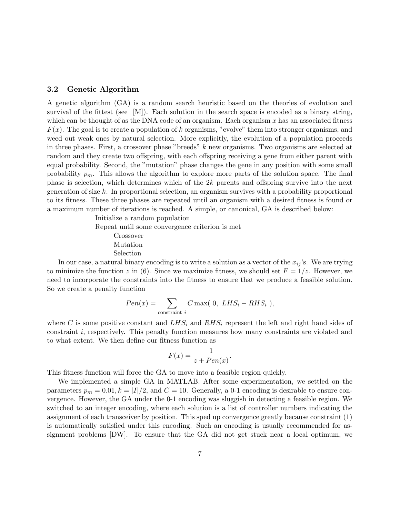#### 3.2 Genetic Algorithm

A genetic algorithm (GA) is a random search heuristic based on the theories of evolution and survival of the fittest (see [M]). Each solution in the search space is encoded as a binary string, which can be thought of as the DNA code of an organism. Each organism  $x$  has an associated fitness  $F(x)$ . The goal is to create a population of k organisms, "evolve" them into stronger organisms, and weed out weak ones by natural selection. More explicitly, the evolution of a population proceeds in three phases. First, a crossover phase "breeds" k new organisms. Two organisms are selected at random and they create two offspring, with each offspring receiving a gene from either parent with equal probability. Second, the "mutation" phase changes the gene in any position with some small probability  $p_m$ . This allows the algorithm to explore more parts of the solution space. The final phase is selection, which determines which of the  $2k$  parents and offspring survive into the next generation of size  $k$ . In proportional selection, an organism survives with a probability proportional to its fitness. These three phases are repeated until an organism with a desired fitness is found or a maximum number of iterations is reached. A simple, or canonical, GA is described below:

> Initialize a random population Repeat until some convergence criterion is met Crossover Mutation Selection

In our case, a natural binary encoding is to write a solution as a vector of the  $x_{ij}$ 's. We are trying to minimize the function z in (6). Since we maximize fitness, we should set  $F = 1/z$ . However, we need to incorporate the constraints into the fitness to ensure that we produce a feasible solution. So we create a penalty function

$$
Pen(x) = \sum_{\text{constraint } i} C \max( 0, LHS_i - RHS_i ),
$$

where C is some positive constant and  $LHS_i$  and  $RHS_i$  represent the left and right hand sides of constraint i, respectively. This penalty function measures how many constraints are violated and to what extent. We then define our fitness function as

$$
F(x) = \frac{1}{z + Pen(x)}.
$$

This fitness function will force the GA to move into a feasible region quickly.

We implemented a simple GA in MATLAB. After some experimentation, we settled on the parameters  $p_m = 0.01, k = |I|/2$ , and  $C = 10$ . Generally, a 0-1 encoding is desirable to ensure convergence. However, the GA under the 0-1 encoding was sluggish in detecting a feasible region. We switched to an integer encoding, where each solution is a list of controller numbers indicating the assignment of each transceiver by position. This sped up convergence greatly because constraint (1) is automatically satisfied under this encoding. Such an encoding is usually recommended for assignment problems [DW]. To ensure that the GA did not get stuck near a local optimum, we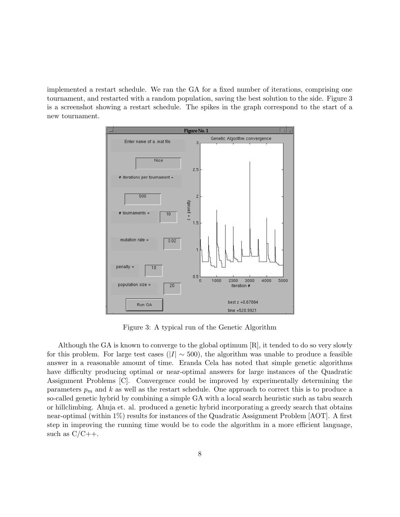implemented a restart schedule. We ran the GA for a fixed number of iterations, comprising one tournament, and restarted with a random population, saving the best solution to the side. Figure 3 is a screenshot showing a restart schedule. The spikes in the graph correspond to the start of a new tournament.



Figure 3: A typical run of the Genetic Algorithm

Although the GA is known to converge to the global optimum [R], it tended to do so very slowly for this problem. For large test cases ( $|I| \sim 500$ ), the algorithm was unable to produce a feasible answer in a reasonable amount of time. Eranda Cela has noted that simple genetic algorithms have difficulty producing optimal or near-optimal answers for large instances of the Quadratic Assignment Problems [C]. Convergence could be improved by experimentally determining the parameters  $p_m$  and k as well as the restart schedule. One approach to correct this is to produce a so-called genetic hybrid by combining a simple GA with a local search heuristic such as tabu search or hillclimbing. Ahuja et. al. produced a genetic hybrid incorporating a greedy search that obtains near-optimal (within 1%) results for instances of the Quadratic Assignment Problem [AOT]. A first step in improving the running time would be to code the algorithm in a more efficient language, such as  $C/C++$ .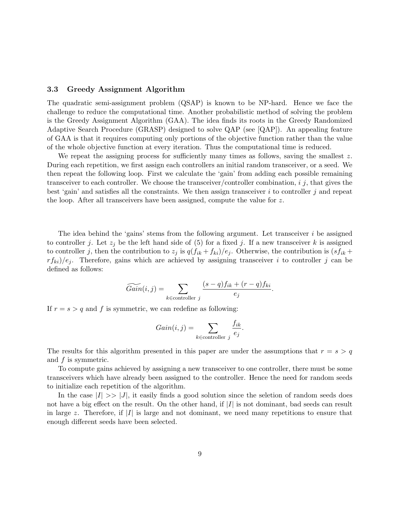#### 3.3 Greedy Assignment Algorithm

The quadratic semi-assignment problem (QSAP) is known to be NP-hard. Hence we face the challenge to reduce the computational time. Another probabilistic method of solving the problem is the Greedy Assignment Algorithm (GAA). The idea finds its roots in the Greedy Randomized Adaptive Search Procedure (GRASP) designed to solve QAP (see [QAP]). An appealing feature of GAA is that it requires computing only portions of the objective function rather than the value of the whole objective function at every iteration. Thus the computational time is reduced.

We repeat the assigning process for sufficiently many times as follows, saving the smallest  $z$ . During each repetition, we first assign each controllers an initial random transceiver, or a seed. We then repeat the following loop. First we calculate the 'gain' from adding each possible remaining transceiver to each controller. We choose the transceiver/controller combination,  $i$   $j$ , that gives the best 'gain' and satisfies all the constraints. We then assign transceiver  $i$  to controller  $j$  and repeat the loop. After all transceivers have been assigned, compute the value for z.

The idea behind the 'gains' stems from the following argument. Let transceiver  $i$  be assigned to controller j. Let  $z_i$  be the left hand side of (5) for a fixed j. If a new transceiver k is assigned to controller j, then the contribution to  $z_j$  is  $q(f_{ik} + f_{ki})/e_j$ . Otherwise, the contribution is  $(sf_{ik} + f_{ki})/e_j$  $r f_{ki}/e_i$ . Therefore, gains which are achieved by assigning transceiver i to controller j can be defined as follows:

$$
\widetilde{Gain}(i, j) = \sum_{k \in \text{controller } j} \frac{(s-q)f_{ik} + (r-q)f_{ki}}{e_j}.
$$

If  $r = s > q$  and f is symmetric, we can redefine as following:

$$
Gain(i, j) = \sum_{k \in \text{controller } j} \frac{f_{ik}}{e_j}.
$$

The results for this algorithm presented in this paper are under the assumptions that  $r = s > q$ and f is symmetric.

To compute gains achieved by assigning a new transceiver to one controller, there must be some transceivers which have already been assigned to the controller. Hence the need for random seeds to initialize each repetition of the algorithm.

In the case  $|I| \gg |J|$ , it easily finds a good solution since the seletion of random seeds does not have a big effect on the result. On the other hand, if  $|I|$  is not dominant, bad seeds can result in large z. Therefore, if  $|I|$  is large and not dominant, we need many repetitions to ensure that enough different seeds have been selected.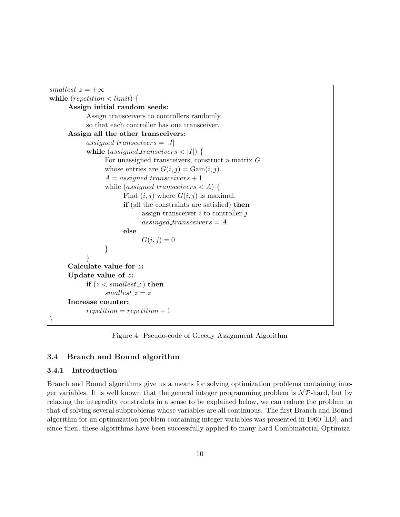```
smallest\_z = +\inftywhile (repetition \langle limit) {
Assign initial random seeds:
       Assign transceivers to controllers randomly
       so that each controller has one transceiver.
 Assign all the other transceivers:
       assigned transceivers = |J|while (assigned transeivers \langle |I| \rangle {
             For unassigned transceivers, construct a matrix G
             whose entries are G(i, j) = \text{Gain}(i, j).
             A = assigned\_transceivers + 1while (assigned\_transceivers < A) {
                   Find (i, j) where G(i, j) is maximal.
                   if (all the constraints are satisfied) then
                         assign transceiver i to controller jassigned\_transceivers = Aelse
                         G(i, j) = 0}
       }
 Calculate value for z:
 Update value of z:
       if (z < smallest z) then
             smallest_z = zIncrease counter:
       repetition = repetition + 1}
```
Figure 4: Pseudo-code of Greedy Assignment Algorithm

### 3.4 Branch and Bound algorithm

#### 3.4.1 Introduction

Branch and Bound algorithms give us a means for solving optimization problems containing integer variables. It is well known that the general integer programming problem is  $\mathcal{NP}$ -hard, but by relaxing the integrality constraints in a sense to be explained below, we can reduce the problem to that of solving several subproblems whose variables are all continuous. The first Branch and Bound algorithm for an optimization problem containing integer variables was presented in 1960 [LD], and since then, these algorithms have been successfully applied to many hard Combinatorial Optimiza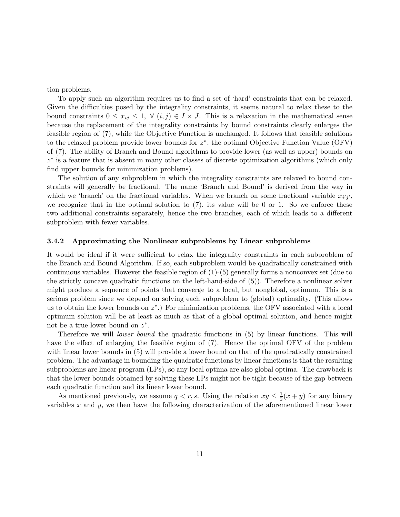tion problems.

To apply such an algorithm requires us to find a set of 'hard' constraints that can be relaxed. Given the difficulties posed by the integrality constraints, it seems natural to relax these to the bound constraints  $0 \le x_{ij} \le 1$ ,  $\forall$   $(i, j) \in I \times J$ . This is a relaxation in the mathematical sense because the replacement of the integrality constraints by bound constraints clearly enlarges the feasible region of (7), while the Objective Function is unchanged. It follows that feasible solutions to the relaxed problem provide lower bounds for  $z^*$ , the optimal Objective Function Value (OFV) of (7). The ability of Branch and Bound algorithms to provide lower (as well as upper) bounds on z ∗ is a feature that is absent in many other classes of discrete optimization algorithms (which only find upper bounds for minimization problems).

The solution of any subproblem in which the integrality constraints are relaxed to bound constraints will generally be fractional. The name 'Branch and Bound' is derived from the way in which we 'branch' on the fractional variables. When we branch on some fractional variable  $x_{i'j'}$ , we recognize that in the optimal solution to  $(7)$ , its value will be 0 or 1. So we enforce these two additional constraints separately, hence the two branches, each of which leads to a different subproblem with fewer variables.

#### 3.4.2 Approximating the Nonlinear subproblems by Linear subproblems

It would be ideal if it were sufficient to relax the integrality constraints in each subproblem of the Branch and Bound Algorithm. If so, each subproblem would be quadratically constrained with continuous variables. However the feasible region of  $(1)-(5)$  generally forms a nonconvex set (due to the strictly concave quadratic functions on the left-hand-side of (5)). Therefore a nonlinear solver might produce a sequence of points that converge to a local, but nonglobal, optimum. This is a serious problem since we depend on solving each subproblem to (global) optimality. (This allows us to obtain the lower bounds on  $z^*$ .) For minimization problems, the OFV associated with a local optimum solution will be at least as much as that of a global optimal solution, and hence might not be a true lower bound on  $z^*$ .

Therefore we will *lower bound* the quadratic functions in (5) by linear functions. This will have the effect of enlarging the feasible region of (7). Hence the optimal OFV of the problem with linear lower bounds in  $(5)$  will provide a lower bound on that of the quadratically constrained problem. The advantage in bounding the quadratic functions by linear functions is that the resulting subproblems are linear program (LPs), so any local optima are also global optima. The drawback is that the lower bounds obtained by solving these LPs might not be tight because of the gap between each quadratic function and its linear lower bound.

As mentioned previously, we assume  $q < r, s$ . Using the relation  $xy \leq \frac{1}{2}$  $\frac{1}{2}(x+y)$  for any binary variables  $x$  and  $y$ , we then have the following characterization of the aforementioned linear lower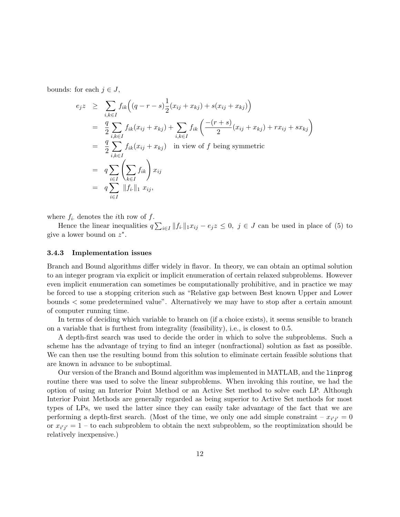bounds: for each  $j \in J$ ,

$$
e_j z \geq \sum_{i,k \in I} f_{ik} \Big( (q-r-s) \frac{1}{2} (x_{ij} + x_{kj}) + s(x_{ij} + x_{kj}) \Big)
$$
  
\n
$$
= \frac{q}{2} \sum_{i,k \in I} f_{ik} (x_{ij} + x_{kj}) + \sum_{i,k \in I} f_{ik} \Big( \frac{-(r+s)}{2} (x_{ij} + x_{kj}) + rx_{ij} + sx_{kj} \Big)
$$
  
\n
$$
= \frac{q}{2} \sum_{i,k \in I} f_{ik} (x_{ij} + x_{kj}) \quad \text{in view of } f \text{ being symmetric}
$$
  
\n
$$
= q \sum_{i \in I} \Big( \sum_{k \in I} f_{ik} \Big) x_{ij}
$$
  
\n
$$
= q \sum_{i \in I} ||f_i||_1 x_{ij},
$$

where  $f_i$  denotes the *i*th row of  $f$ .

Hence the linear inequalities  $q\sum_{i\in I} ||f_i||_1 x_{ij} - e_j z \leq 0$ ,  $j \in J$  can be used in place of (5) to give a lower bound on  $z^*$ .

#### 3.4.3 Implementation issues

Branch and Bound algorithms differ widely in flavor. In theory, we can obtain an optimal solution to an integer program via explicit or implicit enumeration of certain relaxed subproblems. However even implicit enumeration can sometimes be computationally prohibitive, and in practice we may be forced to use a stopping criterion such as "Relative gap between Best known Upper and Lower bounds < some predetermined value". Alternatively we may have to stop after a certain amount of computer running time.

In terms of deciding which variable to branch on (if a choice exists), it seems sensible to branch on a variable that is furthest from integrality (feasibility), i.e., is closest to 0.5.

A depth-first search was used to decide the order in which to solve the subproblems. Such a scheme has the advantage of trying to find an integer (nonfractional) solution as fast as possible. We can then use the resulting bound from this solution to eliminate certain feasible solutions that are known in advance to be suboptimal.

Our version of the Branch and Bound algorithm was implemented in MATLAB, and the linprog routine there was used to solve the linear subproblems. When invoking this routine, we had the option of using an Interior Point Method or an Active Set method to solve each LP. Although Interior Point Methods are generally regarded as being superior to Active Set methods for most types of LPs, we used the latter since they can easily take advantage of the fact that we are performing a depth-first search. (Most of the time, we only one add simple constraint  $-x_{i'j'}=0$ or  $x_{i'j'} = 1$  – to each subproblem to obtain the next subproblem, so the reoptimization should be relatively inexpensive.)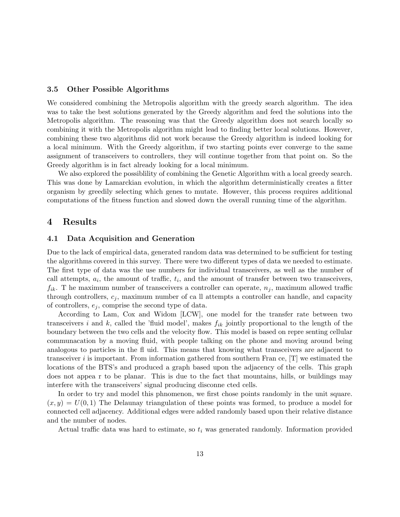#### 3.5 Other Possible Algorithms

We considered combining the Metropolis algorithm with the greedy search algorithm. The idea was to take the best solutions generated by the Greedy algorithm and feed the solutions into the Metropolis algorithm. The reasoning was that the Greedy algorithm does not search locally so combining it with the Metropolis algorithm might lead to finding better local solutions. However, combining these two algorithms did not work because the Greedy algorithm is indeed looking for a local minimum. With the Greedy algorithm, if two starting points ever converge to the same assignment of transceivers to controllers, they will continue together from that point on. So the Greedy algorithm is in fact already looking for a local minimum.

We also explored the possiblility of combining the Genetic Algorithm with a local greedy search. This was done by Lamarckian evolution, in which the algorithm deterministically creates a fitter organism by greedily selecting which genes to mutate. However, this process requires additional computations of the fitness function and slowed down the overall running time of the algorithm.

### 4 Results

#### 4.1 Data Acquisition and Generation

Due to the lack of empirical data, generated random data was determined to be sufficient for testing the algorithms covered in this survey. There were two different types of data we needed to estimate. The first type of data was the use numbers for individual transceivers, as well as the number of call attempts,  $a_i$ , the amount of traffic,  $t_i$ , and the amount of transfer between two transceivers,  $f_{ik}$ . T he maximum number of transceivers a controller can operate,  $n_j$ , maximum allowed traffic through controllers,  $c_j$ , maximum number of call attempts a controller can handle, and capacity of controllers,  $e_i$ , comprise the second type of data.

According to Lam, Cox and Widom [LCW], one model for the transfer rate between two transceivers i and k, called the 'fluid model', makes  $f_{ik}$  jointly proportional to the length of the boundary between the two cells and the velocity flow. This model is based on repre senting cellular communacation by a moving fluid, with people talking on the phone and moving around being analogous to particles in the fl uid. This means that knowing what transceivers are adjacent to transceiver i is important. From information gathered from southern Fran ce,  $[T]$  we estimated the locations of the BTS's and produced a graph based upon the adjacency of the cells. This graph does not appea r to be planar. This is due to the fact that mountains, hills, or buildings may interfere with the transceivers' signal producing disconne cted cells.

In order to try and model this phnomenon, we first chose points randomly in the unit square.  $(x, y) = U(0, 1)$  The Delaunay triangulation of these points was formed, to produce a model for connected cell adjacency. Additional edges were added randomly based upon their relative distance and the number of nodes.

Actual traffic data was hard to estimate, so  $t_i$  was generated randomly. Information provided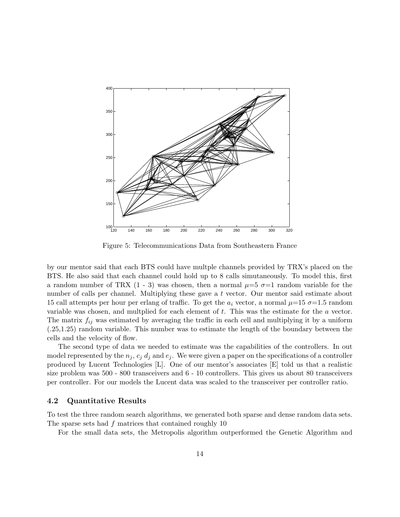

Figure 5: Telecommunications Data from Southeastern France

by our mentor said that each BTS could have multple channels provided by TRX's placed on the BTS. He also said that each channel could hold up to 8 calls simutaneously. To model this, first a random number of TRX  $(1 - 3)$  was chosen, then a normal  $\mu=5$   $\sigma=1$  random variable for the number of calls per channel. Multiplying these gave a t vector. Our mentor said estimate about 15 call attempts per hour per erlang of traffic. To get the  $a_i$  vector, a normal  $\mu=15$   $\sigma=1.5$  random variable was chosen, and multplied for each element of t. This was the estimate for the a vector. The matrix  $f_{ij}$  was estimated by averaging the traffic in each cell and multiplying it by a uniform (.25,1.25) random variable. This number was to estimate the length of the boundary between the cells and the velocity of flow.

The second type of data we needed to estimate was the capabilities of the controllers. In out model represented by the  $n_i$ ,  $c_i$  d<sub>i</sub> and  $e_i$ . We were given a paper on the specifications of a controller produced by Lucent Technologies [L]. One of our mentor's associates [E] told us that a realistic size problem was 500 - 800 transceivers and 6 - 10 controllers. This gives us about 80 transceivers per controller. For our models the Lucent data was scaled to the transceiver per controller ratio.

#### 4.2 Quantitative Results

To test the three random search algorithms, we generated both sparse and dense random data sets. The sparse sets had f matrices that contained roughly 10

For the small data sets, the Metropolis algorithm outperformed the Genetic Algorithm and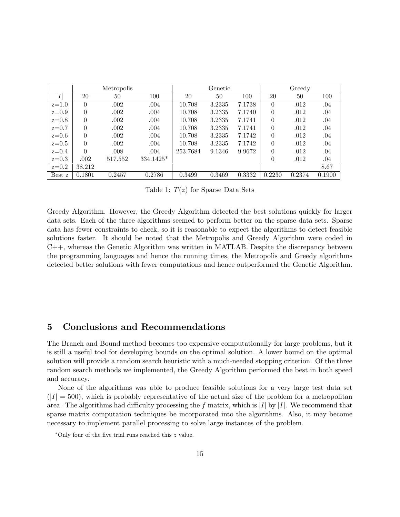|         |          | Metropolis |             |          | Genetic |        |          | Greedy |        |
|---------|----------|------------|-------------|----------|---------|--------|----------|--------|--------|
| Ι       | 20       | 50         | 100         | 20       | 50      | 100    | 20       | 50     | 100    |
| $z=1.0$ | 0        | .002       | .004        | 10.708   | 3.2335  | 7.1738 | $\theta$ | .012   | .04    |
| $z=0.9$ | $\theta$ | .002       | .004        | 10.708   | 3.2335  | 7.1740 | $\theta$ | .012   | .04    |
| $z=0.8$ | $\theta$ | .002       | .004        | 10.708   | 3.2335  | 7.1741 | $\theta$ | .012   | .04    |
| $z=0.7$ | $\Omega$ | .002       | .004        | 10.708   | 3.2335  | 7.1741 | $\theta$ | .012   | .04    |
| $z=0.6$ | $\Omega$ | .002       | .004        | 10.708   | 3.2335  | 7.1742 | $\theta$ | .012   | .04    |
| $z=0.5$ | $\theta$ | .002       | .004        | 10.708   | 3.2335  | 7.1742 | $\theta$ | .012   | .04    |
| $z=0.4$ | $\Omega$ | .008       | .004        | 253.7684 | 9.1346  | 9.9672 | $\theta$ | .012   | .04    |
| $z=0.3$ | .002     | 517.552    | $334.1425*$ |          |         |        | $\theta$ | .012   | .04    |
| $z=0.2$ | 38.212   |            |             |          |         |        |          |        | 8.67   |
| Best z  | 0.1801   | 0.2457     | 0.2786      | 0.3499   | 0.3469  | 0.3332 | 0.2230   | 0.2374 | 0.1900 |

Table 1:  $T(z)$  for Sparse Data Sets

Greedy Algorithm. However, the Greedy Algorithm detected the best solutions quickly for larger data sets. Each of the three algorithms seemed to perform better on the sparse data sets. Sparse data has fewer constraints to check, so it is reasonable to expect the algorithms to detect feasible solutions faster. It should be noted that the Metropolis and Greedy Algorithm were coded in C++, whereas the Genetic Algorithm was written in MATLAB. Despite the discrepancy between the programming languages and hence the running times, the Metropolis and Greedy algorithms detected better solutions with fewer computations and hence outperformed the Genetic Algorithm.

## 5 Conclusions and Recommendations

The Branch and Bound method becomes too expensive computationally for large problems, but it is still a useful tool for developing bounds on the optimal solution. A lower bound on the optimal solution will provide a random search heuristic with a much-needed stopping criterion. Of the three random search methods we implemented, the Greedy Algorithm performed the best in both speed and accuracy.

None of the algorithms was able to produce feasible solutions for a very large test data set  $(|I| = 500)$ , which is probably representative of the actual size of the problem for a metropolitan area. The algorithms had difficulty processing the f matrix, which is  $|I|$  by  $|I|$ . We recommend that sparse matrix computation techniques be incorporated into the algorithms. Also, it may become necessary to implement parallel processing to solve large instances of the problem.

<sup>∗</sup>Only four of the five trial runs reached this z value.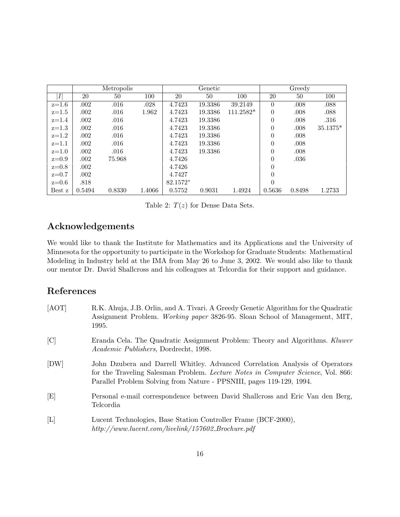|         |        | Metropolis |        |          | Genetic |             |                  | Greedy |          |
|---------|--------|------------|--------|----------|---------|-------------|------------------|--------|----------|
| I       | 20     | 50         | 100    | 20       | 50      | 100         | 20               | 50     | 100      |
| $z=1.6$ | .002   | .016       | .028   | 4.7423   | 19.3386 | 39.2149     | $\theta$         | .008   | .088     |
| $z=1.5$ | .002   | .016       | 1.962  | 4.7423   | 19.3386 | $111.2582*$ | $\boldsymbol{0}$ | .008   | .088     |
| $z=1.4$ | .002   | $.016\,$   |        | 4.7423   | 19.3386 |             | $\overline{0}$   | .008   | .316     |
| $z=1.3$ | .002   | .016       |        | 4.7423   | 19.3386 |             | $\overline{0}$   | .008   | 35.1375* |
| $z=1.2$ | .002   | .016       |        | 4.7423   | 19.3386 |             | $\theta$         | .008   |          |
| $z=1.1$ | .002   | .016       |        | 4.7423   | 19.3386 |             | $\theta$         | .008   |          |
| $z=1.0$ | .002   | .016       |        | 4.7423   | 19.3386 |             | $\overline{0}$   | .008   |          |
| $z=0.9$ | .002   | 75.968     |        | 4.7426   |         |             | $\theta$         | .036   |          |
| $z=0.8$ | .002   |            |        | 4.7426   |         |             | $\theta$         |        |          |
| $z=0.7$ | .002   |            |        | 4.7427   |         |             | $\theta$         |        |          |
| $z=0.6$ | .818   |            |        | 82.1572* |         |             | $\theta$         |        |          |
| Best z  | 0.5494 | 0.8330     | 1.4066 | 0.5752   | 0.9031  | 1.4924      | 0.5636           | 0.8498 | 1.2733   |

Table 2:  $T(z)$  for Dense Data Sets.

## Acknowledgements

We would like to thank the Institute for Mathematics and its Applications and the University of Minnesota for the opportunity to participate in the Workshop for Graduate Students: Mathematical Modeling in Industry held at the IMA from May 26 to June 3, 2002. We would also like to thank our mentor Dr. David Shallcross and his colleagues at Telcordia for their support and guidance.

# References

| [AOT]       | R.K. Ahuja, J.B. Orlin, and A. Tivari. A Greedy Genetic Algorithm for the Quadratic<br>Assignment Problem. <i>Working paper</i> 3826-95. Sloan School of Management, MIT,<br>1995.                                                       |
|-------------|------------------------------------------------------------------------------------------------------------------------------------------------------------------------------------------------------------------------------------------|
| C           | Eranda Cela. The Quadratic Assignment Problem: Theory and Algorithms. Kluwer<br><i>Academic Publishers</i> , Dordrecht, 1998.                                                                                                            |
| [DW]        | John Dzubera and Darrell Whitley. Advanced Correlation Analysis of Operators<br>for the Traveling Salesman Problem. Lecture Notes in Computer Science, Vol. 866:<br>Parallel Problem Solving from Nature - PPSNIII, pages 119-129, 1994. |
| E           | Personal e-mail correspondence between David Shallcross and Eric Van den Berg,<br>Telcordia                                                                                                                                              |
| $[{\rm L}]$ | Lucent Technologies, Base Station Controller Frame (BCF-2000),<br>$http://www.lucent.com/livelink/157602_Brochure.pdf$                                                                                                                   |